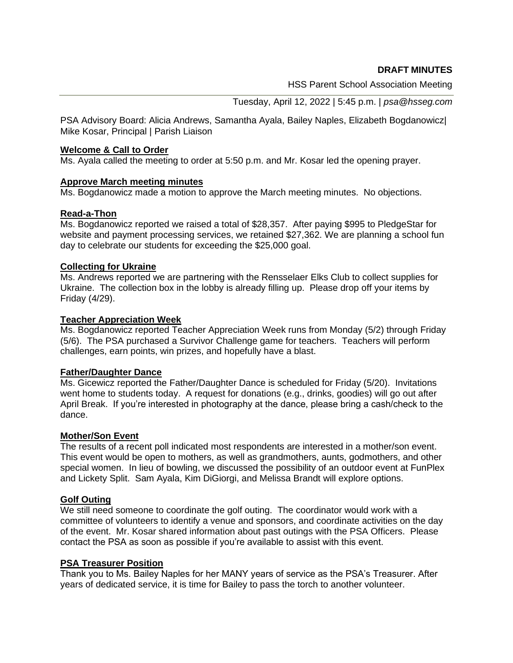**DRAFT MINUTES**

HSS Parent School Association Meeting

Tuesday, April 12, 2022 | 5:45 p.m. | *psa@hsseg.com*

PSA Advisory Board: Alicia Andrews, Samantha Ayala, Bailey Naples, Elizabeth Bogdanowicz| Mike Kosar, Principal | Parish Liaison

#### **Welcome & Call to Order**

Ms. Ayala called the meeting to order at 5:50 p.m. and Mr. Kosar led the opening prayer.

# **Approve March meeting minutes**

Ms. Bogdanowicz made a motion to approve the March meeting minutes. No objections.

# **Read-a-Thon**

Ms. Bogdanowicz reported we raised a total of \$28,357. After paying \$995 to PledgeStar for website and payment processing services, we retained \$27,362. We are planning a school fun day to celebrate our students for exceeding the \$25,000 goal.

# **Collecting for Ukraine**

Ms. Andrews reported we are partnering with the Rensselaer Elks Club to collect supplies for Ukraine. The collection box in the lobby is already filling up. Please drop off your items by Friday (4/29).

# **Teacher Appreciation Week**

Ms. Bogdanowicz reported Teacher Appreciation Week runs from Monday (5/2) through Friday (5/6). The PSA purchased a Survivor Challenge game for teachers. Teachers will perform challenges, earn points, win prizes, and hopefully have a blast.

# **Father/Daughter Dance**

Ms. Gicewicz reported the Father/Daughter Dance is scheduled for Friday (5/20). Invitations went home to students today. A request for donations (e.g., drinks, goodies) will go out after April Break. If you're interested in photography at the dance, please bring a cash/check to the dance.

#### **Mother/Son Event**

The results of a recent poll indicated most respondents are interested in a mother/son event. This event would be open to mothers, as well as grandmothers, aunts, godmothers, and other special women. In lieu of bowling, we discussed the possibility of an outdoor event at FunPlex and Lickety Split. Sam Ayala, Kim DiGiorgi, and Melissa Brandt will explore options.

# **Golf Outing**

We still need someone to coordinate the golf outing. The coordinator would work with a committee of volunteers to identify a venue and sponsors, and coordinate activities on the day of the event. Mr. Kosar shared information about past outings with the PSA Officers. Please contact the PSA as soon as possible if you're available to assist with this event.

#### **PSA Treasurer Position**

Thank you to Ms. Bailey Naples for her MANY years of service as the PSA's Treasurer. After years of dedicated service, it is time for Bailey to pass the torch to another volunteer.